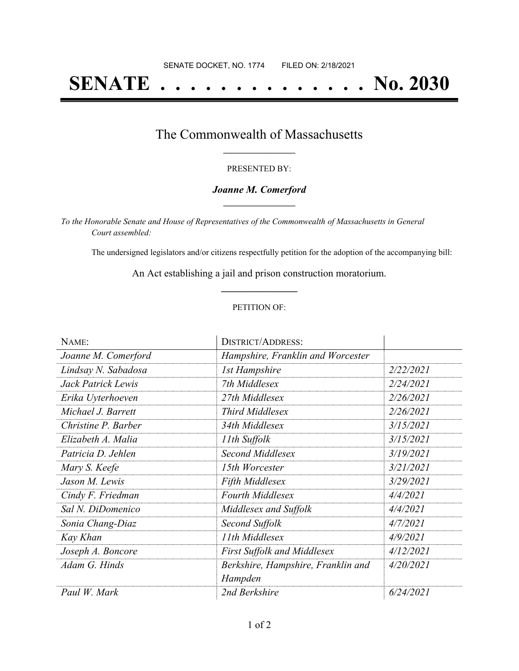# **SENATE . . . . . . . . . . . . . . No. 2030**

### The Commonwealth of Massachusetts **\_\_\_\_\_\_\_\_\_\_\_\_\_\_\_\_\_**

#### PRESENTED BY:

#### *Joanne M. Comerford* **\_\_\_\_\_\_\_\_\_\_\_\_\_\_\_\_\_**

*To the Honorable Senate and House of Representatives of the Commonwealth of Massachusetts in General Court assembled:*

The undersigned legislators and/or citizens respectfully petition for the adoption of the accompanying bill:

An Act establishing a jail and prison construction moratorium. **\_\_\_\_\_\_\_\_\_\_\_\_\_\_\_**

#### PETITION OF:

| NAME:               | <b>DISTRICT/ADDRESS:</b>           |           |
|---------------------|------------------------------------|-----------|
| Joanne M. Comerford | Hampshire, Franklin and Worcester  |           |
| Lindsay N. Sabadosa | <b>1st Hampshire</b>               | 2/22/2021 |
| Jack Patrick Lewis  | 7th Middlesex                      | 2/24/2021 |
| Erika Uyterhoeven   | 27th Middlesex                     | 2/26/2021 |
| Michael J. Barrett  | <b>Third Middlesex</b>             | 2/26/2021 |
| Christine P. Barber | 34th Middlesex                     | 3/15/2021 |
| Elizabeth A. Malia  | 11th Suffolk                       | 3/15/2021 |
| Patricia D. Jehlen  | Second Middlesex                   | 3/19/2021 |
| Mary S. Keefe       | 15th Worcester                     | 3/21/2021 |
| Jason M. Lewis      | <b>Fifth Middlesex</b>             | 3/29/2021 |
| Cindy F. Friedman   | <b>Fourth Middlesex</b>            | 4/4/2021  |
| Sal N. DiDomenico   | Middlesex and Suffolk              | 4/4/2021  |
| Sonia Chang-Diaz    | Second Suffolk                     | 4/7/2021  |
| Kay Khan            | 11th Middlesex                     | 4/9/2021  |
| Joseph A. Boncore   | <b>First Suffolk and Middlesex</b> | 4/12/2021 |
| Adam G. Hinds       | Berkshire, Hampshire, Franklin and | 4/20/2021 |
|                     | Hampden                            |           |
| Paul W. Mark        | 2nd Berkshire                      | 6/24/2021 |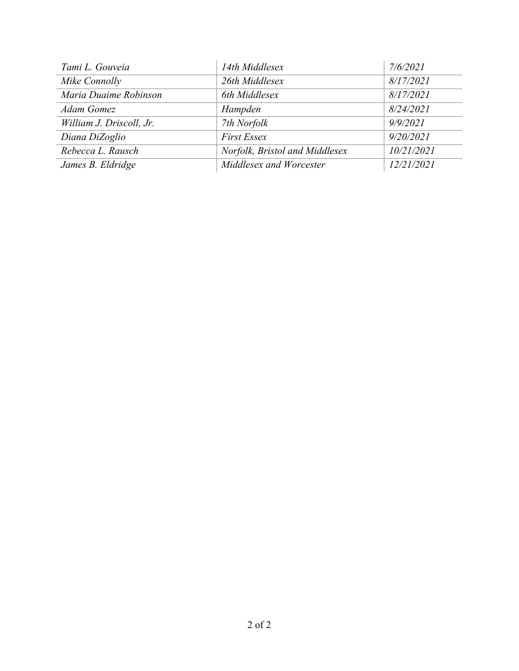| Tami L. Gouveia          | 14th Middlesex                 | 7/6/2021   |
|--------------------------|--------------------------------|------------|
| Mike Connolly            | 26th Middlesex                 | 8/17/2021  |
| Maria Duaime Robinson    | 6th Middlesex                  | 8/17/2021  |
| <b>Adam Gomez</b>        | Hampden                        | 8/24/2021  |
| William J. Driscoll, Jr. | 7th Norfolk                    | 9/9/2021   |
| Diana DiZoglio           | <b>First Essex</b>             | 9/20/2021  |
| Rebecca L. Rausch        | Norfolk, Bristol and Middlesex | 10/21/2021 |
| James B. Eldridge        | Middlesex and Worcester        | 12/21/2021 |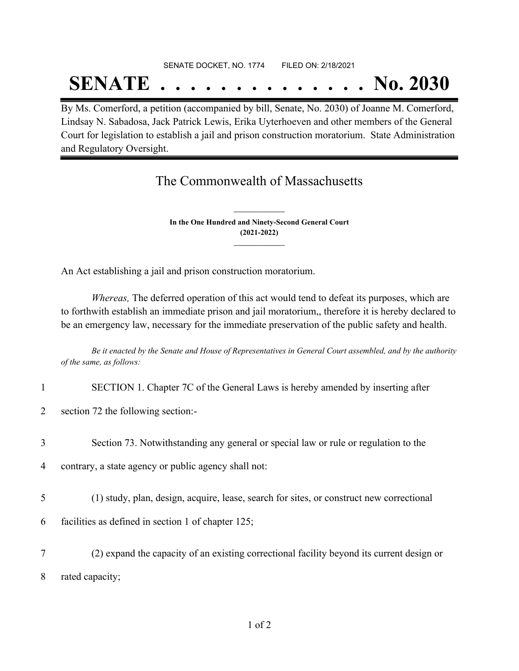## SENATE DOCKET, NO. 1774 FILED ON: 2/18/2021

# **SENATE . . . . . . . . . . . . . . No. 2030**

By Ms. Comerford, a petition (accompanied by bill, Senate, No. 2030) of Joanne M. Comerford, Lindsay N. Sabadosa, Jack Patrick Lewis, Erika Uyterhoeven and other members of the General Court for legislation to establish a jail and prison construction moratorium. State Administration and Regulatory Oversight.

### The Commonwealth of Massachusetts

**In the One Hundred and Ninety-Second General Court (2021-2022) \_\_\_\_\_\_\_\_\_\_\_\_\_\_\_**

**\_\_\_\_\_\_\_\_\_\_\_\_\_\_\_**

An Act establishing a jail and prison construction moratorium.

*Whereas,* The deferred operation of this act would tend to defeat its purposes, which are to forthwith establish an immediate prison and jail moratorium,, therefore it is hereby declared to be an emergency law, necessary for the immediate preservation of the public safety and health.

Be it enacted by the Senate and House of Representatives in General Court assembled, and by the authority *of the same, as follows:*

|                | SECTION 1. Chapter 7C of the General Laws is hereby amended by inserting after            |
|----------------|-------------------------------------------------------------------------------------------|
| $\overline{2}$ | section 72 the following section:-                                                        |
| 3              | Section 73. Notwithstanding any general or special law or rule or regulation to the       |
| 4              | contrary, a state agency or public agency shall not:                                      |
| 5              | (1) study, plan, design, acquire, lease, search for sites, or construct new correctional  |
| 6              | facilities as defined in section 1 of chapter 125;                                        |
| 7              | (2) expand the capacity of an existing correctional facility beyond its current design or |

8 rated capacity;